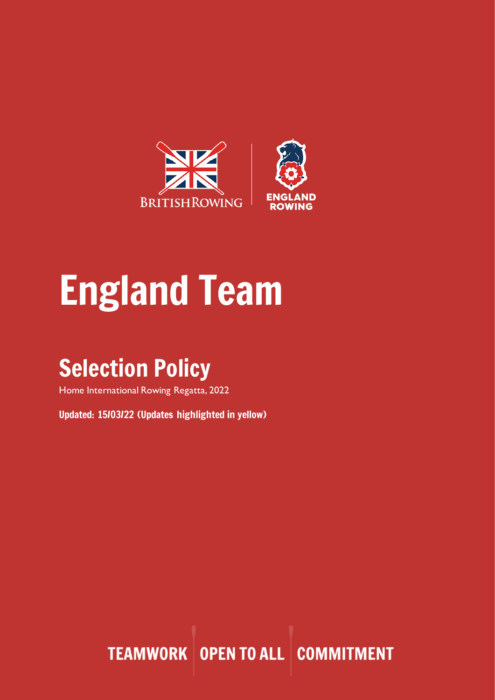

# England Team

# Selection Policy

Home International Rowing Regatta, 2022

Updated: 15/03/22 (Updates highlighted in yellow)

**TEAMWORK OPEN TO ALL COMMITMENT**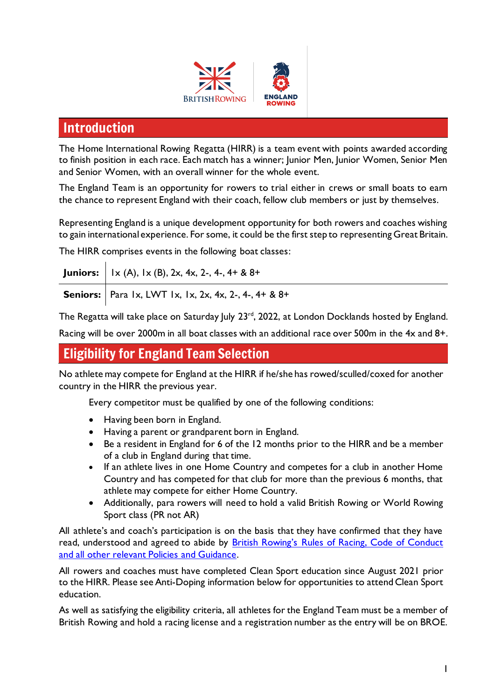

# Introduction

The Home International Rowing Regatta (HIRR) is a team event with points awarded according to finish position in each race. Each match has a winner; Junior Men, Junior Women, Senior Men and Senior Women, with an overall winner for the whole event.

The England Team is an opportunity for rowers to trial either in crews or small boats to earn the chance to represent England with their coach, fellow club members or just by themselves.

Representing England is a unique development opportunity for both rowers and coaches wishing to gain international experience. For some, it could be the first step to representing Great Britain.

The HIRR comprises events in the following boat classes:

| <b>Juniors:</b>   $1 \times (A)$ , $1 \times (B)$ , 2x, 4x, 2-, 4-, 4+ & 8+ |
|-----------------------------------------------------------------------------|
| <b>Seniors:</b>   Para 1x, LWT 1x, 1x, 2x, 4x, 2-, 4-, 4+ & 8+              |

The Regatta will take place on Saturday July 23<sup>rd</sup>, 2022, at London Docklands hosted by England.

Racing will be over 2000m in all boat classes with an additional race over 500m in the 4x and 8+.

## Eligibility for England Team Selection

No athlete may compete for England at the HIRR if he/she has rowed/sculled/coxed for another country in the HIRR the previous year.

Every competitor must be qualified by one of the following conditions:

- Having been born in England.
- Having a parent or grandparent born in England.
- Be a resident in England for 6 of the 12 months prior to the HIRR and be a member of a club in England during that time.
- If an athlete lives in one Home Country and competes for a club in another Home Country and has competed for that club for more than the previous 6 months, that athlete may compete for either Home Country.
- Additionally, para rowers will need to hold a valid British Rowing or World Rowing Sport class (PR not AR)

All athlete's and coach's participation is on the basis that they have confirmed that they have read, understood and agreed to abide by British Rowing's [Rules of Racing, Code of Conduct](https://www.britishrowing.org/about-us/policies-guidance/)  [and all other relevant Policies and Guidance.](https://www.britishrowing.org/about-us/policies-guidance/)

All rowers and coaches must have completed Clean Sport education since August 2021 prior to the HIRR. Please see Anti-Doping information below for opportunities to attend Clean Sport education.

As well as satisfying the eligibility criteria, all athletes for the England Team must be a member of British Rowing and hold a racing license and a registration number as the entry will be on BROE.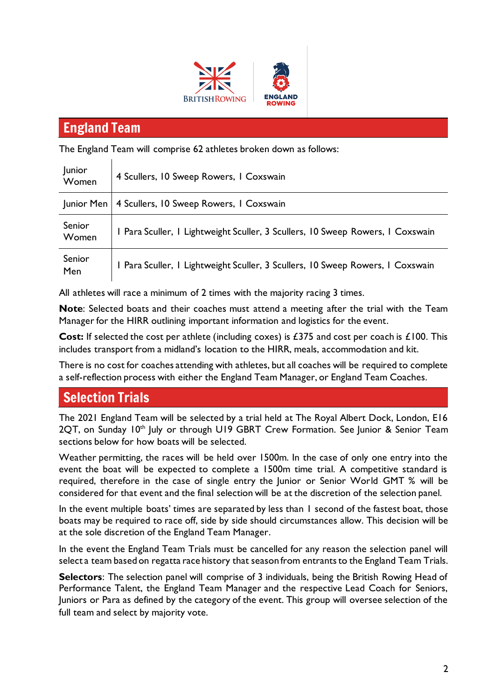



# England Team

The England Team will comprise 62 athletes broken down as follows:

| <b>Junior</b><br>Women | 4 Scullers, 10 Sweep Rowers, 1 Coxswain                                        |
|------------------------|--------------------------------------------------------------------------------|
| Junior Men             | 4 Scullers, 10 Sweep Rowers, 1 Coxswain                                        |
| Senior<br>Women        | I Para Sculler, I Lightweight Sculler, 3 Scullers, 10 Sweep Rowers, I Coxswain |
| Senior<br>Men          | I Para Sculler, I Lightweight Sculler, 3 Scullers, 10 Sweep Rowers, I Coxswain |

All athletes will race a minimum of 2 times with the majority racing 3 times.

**Note**: Selected boats and their coaches must attend a meeting after the trial with the Team Manager for the HIRR outlining important information and logistics for the event.

**Cost:** If selected the cost per athlete (including coxes) is £375 and cost per coach is £100. This includes transport from a midland's location to the HIRR, meals, accommodation and kit.

There is no cost for coaches attending with athletes, but all coaches will be required to complete a self-reflection process with either the England Team Manager, or England Team Coaches.

# Selection Trials

The 2021 England Team will be selected by a trial held at The Royal Albert Dock, London, E16 2QT, on Sunday 10<sup>th</sup> July or through U19 GBRT Crew Formation. See Junior & Senior Team sections below for how boats will be selected.

Weather permitting, the races will be held over 1500m. In the case of only one entry into the event the boat will be expected to complete a 1500m time trial. A competitive standard is required, therefore in the case of single entry the Junior or Senior World GMT % will be considered for that event and the final selection will be at the discretion of the selection panel.

In the event multiple boats' times are separated by less than I second of the fastest boat, those boats may be required to race off, side by side should circumstances allow. This decision will be at the sole discretion of the England Team Manager.

In the event the England Team Trials must be cancelled for any reason the selection panel will select a team based on regatta race history that season from entrants to the England Team Trials.

**Selectors**: The selection panel will comprise of 3 individuals, being the British Rowing Head of Performance Talent, the England Team Manager and the respective Lead Coach for Seniors, Juniors or Para as defined by the category of the event. This group will oversee selection of the full team and select by majority vote.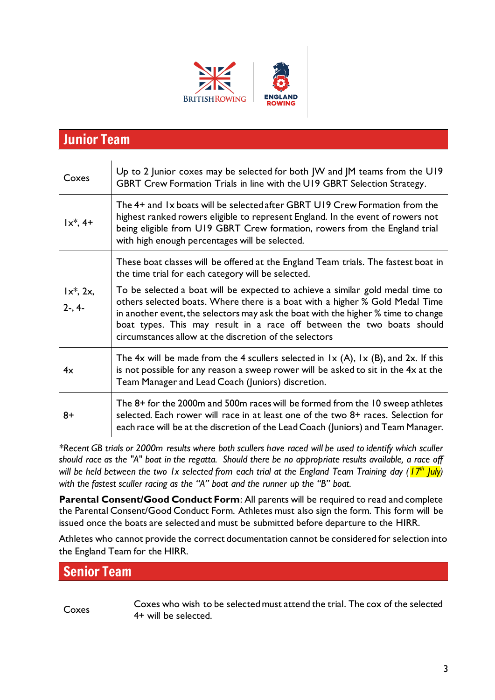



# Junior Team

| Coxes                       | Up to 2 Junior coxes may be selected for both JW and JM teams from the U19<br>GBRT Crew Formation Trials in line with the U19 GBRT Selection Strategy.                                                                                                                                                                                                                                  |
|-----------------------------|-----------------------------------------------------------------------------------------------------------------------------------------------------------------------------------------------------------------------------------------------------------------------------------------------------------------------------------------------------------------------------------------|
| $1x^*, 4+$                  | The 4+ and 1x boats will be selected after GBRT U19 Crew Formation from the<br>highest ranked rowers eligible to represent England. In the event of rowers not<br>being eligible from U19 GBRT Crew formation, rowers from the England trial<br>with high enough percentages will be selected.                                                                                          |
| $1x^*$ , 2x,<br>$2 - 0.4 -$ | These boat classes will be offered at the England Team trials. The fastest boat in<br>the time trial for each category will be selected.                                                                                                                                                                                                                                                |
|                             | To be selected a boat will be expected to achieve a similar gold medal time to<br>others selected boats. Where there is a boat with a higher % Gold Medal Time<br>in another event, the selectors may ask the boat with the higher % time to change<br>boat types. This may result in a race off between the two boats should<br>circumstances allow at the discretion of the selectors |
| 4x                          | The 4x will be made from the 4 scullers selected in $1 \times (A)$ , $1 \times (B)$ , and 2x. If this<br>is not possible for any reason a sweep rower will be asked to sit in the $4x$ at the<br>Team Manager and Lead Coach (Juniors) discretion.                                                                                                                                      |
| 8+                          | The 8+ for the 2000m and 500m races will be formed from the 10 sweep athletes<br>selected. Each rower will race in at least one of the two 8+ races. Selection for<br>each race will be at the discretion of the Lead Coach (Juniors) and Team Manager.                                                                                                                                 |

*\*Recent GB trials or 2000m results where both scullers have raced will be used to identify which sculler should race as the "A" boat in the regatta. Should there be no appropriate results available, a race off will be held between the two 1x selected from each trial at the England Team Training day (17 th July) with the fastest sculler racing as the "A" boat and the runner up the "B" boat.*

**Parental Consent/Good Conduct Form**: All parents will be required to read and complete the Parental Consent/Good Conduct Form. Athletes must also sign the form. This form will be issued once the boats are selected and must be submitted before departure to the HIRR.

Athletes who cannot provide the correct documentation cannot be considered for selection into the England Team for the HIRR.

Senior Team

Coxes Coxes who wish to be selected must attend the trial. The cox of the selected 4+ will be selected.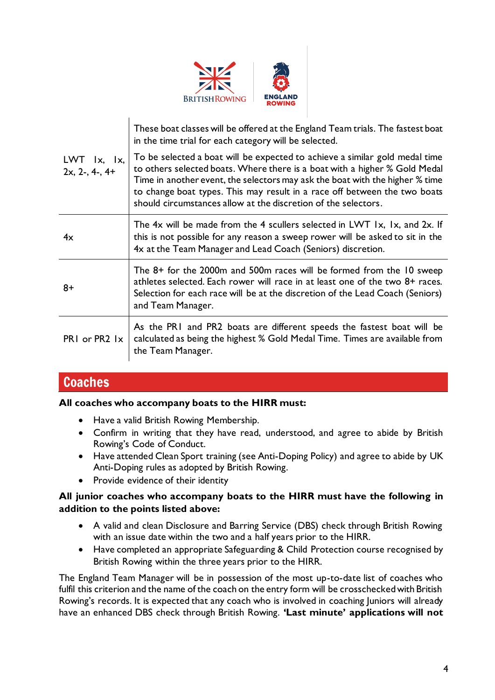

|                                                       | These boat classes will be offered at the England Team trials. The fastest boat<br>in the time trial for each category will be selected.                                                                                                                                                                                                                                                 |
|-------------------------------------------------------|------------------------------------------------------------------------------------------------------------------------------------------------------------------------------------------------------------------------------------------------------------------------------------------------------------------------------------------------------------------------------------------|
| $LWT$ $\vert x, \vert x, \vert x$<br>$2x, 2-, 4-, 4+$ | To be selected a boat will be expected to achieve a similar gold medal time<br>to others selected boats. Where there is a boat with a higher % Gold Medal<br>Time in another event, the selectors may ask the boat with the higher % time<br>to change boat types. This may result in a race off between the two boats<br>should circumstances allow at the discretion of the selectors. |
| 4x                                                    | The 4x will be made from the 4 scullers selected in LWT 1x, 1x, and 2x. If<br>this is not possible for any reason a sweep rower will be asked to sit in the<br>4x at the Team Manager and Lead Coach (Seniors) discretion.                                                                                                                                                               |
| $8+$                                                  | The 8+ for the 2000m and 500m races will be formed from the 10 sweep<br>athletes selected. Each rower will race in at least one of the two 8+ races.<br>Selection for each race will be at the discretion of the Lead Coach (Seniors)<br>and Team Manager.                                                                                                                               |
| PRI or PR2 1x                                         | As the PRI and PR2 boats are different speeds the fastest boat will be<br>calculated as being the highest % Gold Medal Time. Times are available from<br>the Team Manager.                                                                                                                                                                                                               |

# **Coaches**

#### **All coaches who accompany boats to the HIRR must:**

- Have a valid British Rowing Membership.
- Confirm in writing that they have read, understood, and agree to abide by British Rowing's Code of Conduct.
- Have attended Clean Sport training (see Anti-Doping Policy) and agree to abide by UK Anti-Doping rules as adopted by British Rowing.
- Provide evidence of their identity

#### **All junior coaches who accompany boats to the HIRR must have the following in addition to the points listed above:**

- A valid and clean Disclosure and Barring Service (DBS) check through British Rowing with an issue date within the two and a half years prior to the HIRR.
- Have completed an appropriate Safeguarding & Child Protection course recognised by British Rowing within the three years prior to the HIRR.

The England Team Manager will be in possession of the most up-to-date list of coaches who fulfil this criterion and the name of the coach on the entry form will be crosschecked with British Rowing's records. It is expected that any coach who is involved in coaching Juniors will already have an enhanced DBS check through British Rowing. **'Last minute' applications will not**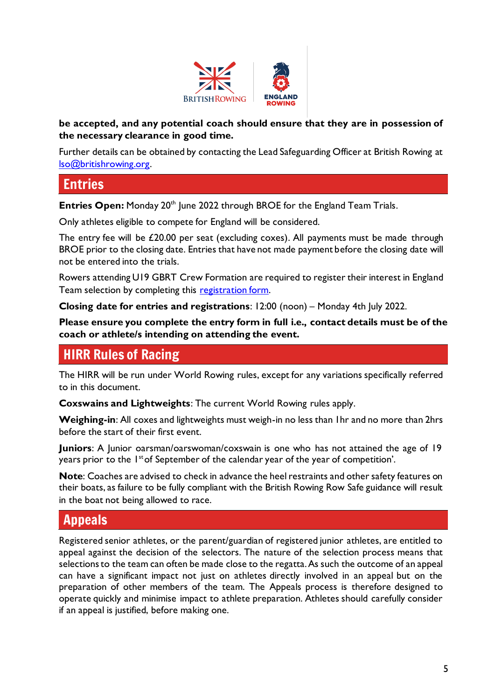

#### **be accepted, and any potential coach should ensure that they are in possession of the necessary clearance in good time.**

Further details can be obtained by contacting the Lead Safeguarding Officer at British Rowing at [lso@britishrowing.org.](mailto:lso@britishrowing.org)

# Entries

**Entries Open:** Monday 20<sup>th</sup> June 2022 through BROE for the England Team Trials.

Only athletes eligible to compete for England will be considered.

The entry fee will be £20.00 per seat (excluding coxes). All payments must be made through BROE prior to the closing date. Entries that have not made payment before the closing date will not be entered into the trials.

Rowers attending U19 GBRT Crew Formation are required to register their interest in England Team selection by completing this [registration form.](https://docs.google.com/forms/d/e/1FAIpQLSdiZ-A0H1cwt5QIGKRlH3x5UTh29C_KlcVfgYv0JlWPdpTDpA/viewform?usp=sf_link)

**Closing date for entries and registrations**: 12:00 (noon) – Monday 4th July 2022.

**Please ensure you complete the entry form in full i.e., contact details must be of the coach or athlete/s intending on attending the event.**

# HIRR Rules of Racing

The HIRR will be run under World Rowing rules, except for any variations specifically referred to in this document.

**Coxswains and Lightweights**: The current World Rowing rules apply.

**Weighing-in**: All coxes and lightweights must weigh-in no less than 1hr and no more than 2hrs before the start of their first event.

**Juniors**: A Junior oarsman/oarswoman/coxswain is one who has not attained the age of 19 years prior to the 1<sup>st</sup> of September of the calendar year of the year of competition'.

**Note**: Coaches are advised to check in advance the heel restraints and other safety features on their boats, as failure to be fully compliant with the British Rowing Row Safe guidance will result in the boat not being allowed to race.

# Appeals

Registered senior athletes, or the parent/guardian of registered junior athletes, are entitled to appeal against the decision of the selectors. The nature of the selection process means that selections to the team can often be made close to the regatta. As such the outcome of an appeal can have a significant impact not just on athletes directly involved in an appeal but on the preparation of other members of the team. The Appeals process is therefore designed to operate quickly and minimise impact to athlete preparation. Athletes should carefully consider if an appeal is justified, before making one.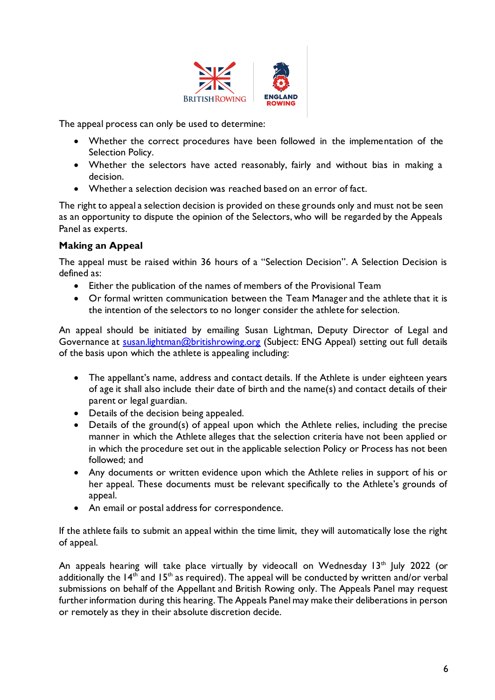

The appeal process can only be used to determine:

- Whether the correct procedures have been followed in the implementation of the Selection Policy.
- Whether the selectors have acted reasonably, fairly and without bias in making a decision.
- Whether a selection decision was reached based on an error of fact.

The right to appeal a selection decision is provided on these grounds only and must not be seen as an opportunity to dispute the opinion of the Selectors, who will be regarded by the Appeals Panel as experts.

#### **Making an Appeal**

The appeal must be raised within 36 hours of a "Selection Decision". A Selection Decision is defined as:

- Either the publication of the names of members of the Provisional Team
- Or formal written communication between the Team Manager and the athlete that it is the intention of the selectors to no longer consider the athlete for selection.

An appeal should be initiated by emailing Susan Lightman, Deputy Director of Legal and Governance at [susan.lightman@britishrowing.org](mailto:susan.lightman@britishrowing.org) (Subject: ENG Appeal) setting out full details of the basis upon which the athlete is appealing including:

- The appellant's name, address and contact details. If the Athlete is under eighteen years of age it shall also include their date of birth and the name(s) and contact details of their parent or legal guardian.
- Details of the decision being appealed.
- Details of the ground(s) of appeal upon which the Athlete relies, including the precise manner in which the Athlete alleges that the selection criteria have not been applied or in which the procedure set out in the applicable selection Policy or Process has not been followed; and
- Any documents or written evidence upon which the Athlete relies in support of his or her appeal. These documents must be relevant specifically to the Athlete's grounds of appeal.
- An email or postal address for correspondence.

If the athlete fails to submit an appeal within the time limit, they will automatically lose the right of appeal.

An appeals hearing will take place virtually by videocall on Wednesday 13<sup>th</sup> July 2022 (or additionally the  $14<sup>th</sup>$  and  $15<sup>th</sup>$  as required). The appeal will be conducted by written and/or verbal submissions on behalf of the Appellant and British Rowing only. The Appeals Panel may request further information during this hearing. The Appeals Panel may make their deliberations in person or remotely as they in their absolute discretion decide.